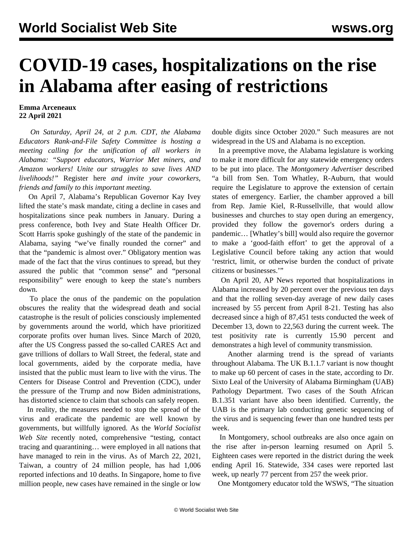## **COVID-19 cases, hospitalizations on the rise in Alabama after easing of restrictions**

## **Emma Arceneaux 22 April 2021**

 *On Saturday, April 24, at 2 p.m. CDT, the Alabama Educators Rank-and-File Safety Committee is hosting a meeting calling for the unification of all workers in Alabama: "Support educators, Warrior Met miners, and Amazon workers! Unite our struggles to save lives AND livelihoods!"* [Register here](https://attendee.gotowebinar.com/register/9163063138840029709) *and invite your coworkers, friends and family to this important meeting.*

 On April 7, Alabama's Republican Governor Kay Ivey lifted the state's mask mandate, citing a decline in cases and hospitalizations since peak numbers in January. During a press conference, both Ivey and State Health Officer Dr. Scott Harris spoke gushingly of the state of the pandemic in Alabama, saying "we've finally rounded the corner" and that the "pandemic is almost over." Obligatory mention was made of the fact that the virus continues to spread, but they assured the public that "common sense" and "personal responsibility" were enough to keep the state's numbers down.

 To place the onus of the pandemic on the population obscures the reality that the widespread death and social catastrophe is the result of policies consciously implemented by governments around the world, which have prioritized corporate profits over human lives. Since March of 2020, after the US Congress passed the so-called CARES Act and gave trillions of dollars to Wall Street, the federal, state and local governments, aided by the corporate media, have insisted that the public must learn to live with the virus. The Centers for Disease Control and Prevention (CDC), under the pressure of the Trump and now Biden administrations, has distorted science to claim that schools can safely reopen.

 In reality, the measures needed to stop the spread of the virus and eradicate the pandemic are well known by governments, but willfully ignored. As the *World Socialist Web Site* [recently](/en/articles/2021/04/02/ende-a02.html) noted, comprehensive "testing, contact tracing and quarantining… were employed in all nations that have managed to rein in the virus. As of March 22, 2021, Taiwan, a country of 24 million people, has had 1,006 reported infections and 10 deaths. In Singapore, home to five million people, new cases have remained in the single or low

double digits since October 2020." Such measures are not widespread in the US and Alabama is no exception.

 In a preemptive move, the Alabama legislature is working to make it more difficult for any statewide emergency orders to be put into place. The *Montgomery Advertiser* described "a bill from Sen. Tom Whatley, R-Auburn, that would require the Legislature to approve the extension of certain states of emergency. Earlier, the chamber approved a bill from Rep. Jamie Kiel, R-Russellville, that would allow businesses and churches to stay open during an emergency, provided they follow the governor's orders during a pandemic… [Whatley's bill] would also require the governor to make a 'good-faith effort' to get the approval of a Legislative Council before taking any action that would 'restrict, limit, or otherwise burden the conduct of private citizens or businesses.'"

 On April 20, AP News reported that hospitalizations in Alabama increased by 20 percent over the previous ten days and that the rolling seven-day average of new daily cases increased by 55 percent from April 8-21. Testing has also decreased since a high of 87,451 tests conducted the week of December 13, down to 22,563 during the current week. The test positivity rate is currently 15.90 percent and demonstrates a high level of community transmission.

 Another alarming trend is the spread of variants throughout Alabama. The UK B.1.1.7 variant is now thought to make up 60 percent of cases in the state, according to Dr. Sixto Leal of the University of Alabama Birmingham (UAB) Pathology Department. Two cases of the South African B.1.351 variant have also been identified. Currently, the UAB is the primary lab conducting genetic sequencing of the virus and is sequencing fewer than one hundred tests per week.

 In Montgomery, school outbreaks are also once again on the rise after in-person learning resumed on April 5. Eighteen cases were reported in the district during the week ending April 16. Statewide, 334 cases were reported last week, up nearly 77 percent from 257 the week prior.

One Montgomery educator told the WSWS, "The situation